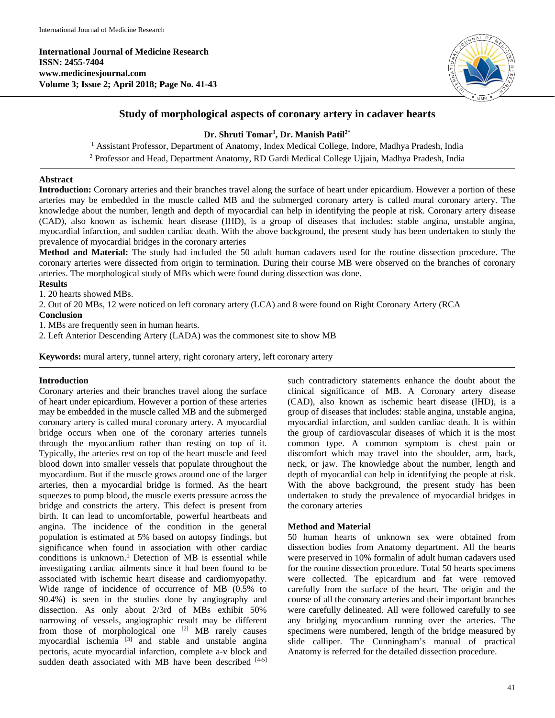**International Journal of Medicine Research ISSN: 2455-7404 www.medicinesjournal.com Volume 3; Issue 2; April 2018; Page No. 41-43**



# **Study of morphological aspects of coronary artery in cadaver hearts**

# **Dr. Shruti Tomar1 , Dr. Manish Patil2\***

<sup>1</sup> Assistant Professor, Department of Anatomy, Index Medical College, Indore, Madhya Pradesh, India <sup>2</sup> Professor and Head, Department Anatomy, RD Gardi Medical College Ujjain, Madhya Pradesh, India

### **Abstract**

**Introduction:** Coronary arteries and their branches travel along the surface of heart under epicardium. However a portion of these arteries may be embedded in the muscle called MB and the submerged coronary artery is called mural coronary artery. The knowledge about the number, length and depth of myocardial can help in identifying the people at risk. Coronary artery disease (CAD), also known as ischemic heart disease (IHD), is a group of diseases that includes: stable angina, unstable angina, myocardial infarction, and sudden cardiac death. With the above background, the present study has been undertaken to study the prevalence of myocardial bridges in the coronary arteries

**Method and Material:** The study had included the 50 adult human cadavers used for the routine dissection procedure. The coronary arteries were dissected from origin to termination. During their course MB were observed on the branches of coronary arteries. The morphological study of MBs which were found during dissection was done.

### **Results**

1. 20 hearts showed MBs.

2. Out of 20 MBs, 12 were noticed on left coronary artery (LCA) and 8 were found on Right Coronary Artery (RCA

### **Conclusion**

1. MBs are frequently seen in human hearts.

2. Left Anterior Descending Artery (LADA) was the commonest site to show MB

**Keywords:** mural artery, tunnel artery, right coronary artery, left coronary artery

# **Introduction**

Coronary arteries and their branches travel along the surface of heart under epicardium. However a portion of these arteries may be embedded in the muscle called MB and the submerged coronary artery is called mural coronary artery. A myocardial bridge occurs when one of the coronary arteries tunnels through the myocardium rather than resting on top of it. Typically, the arteries rest on top of the heart muscle and feed blood down into smaller vessels that populate throughout the myocardium. But if the muscle grows around one of the larger arteries, then a myocardial bridge is formed. As the heart squeezes to pump blood, the muscle exerts pressure across the bridge and constricts the artery. This defect is present from birth. It can lead to uncomfortable, powerful heartbeats and angina. The incidence of the condition in the general population is estimated at 5% based on autopsy findings, but significance when found in association with other cardiac conditions is unknown.<sup>1</sup> Detection of MB is essential while investigating cardiac ailments since it had been found to be associated with ischemic heart disease and cardiomyopathy. Wide range of incidence of occurrence of MB (0.5% to 90.4%) is seen in the studies done by angiography and dissection. As only about 2/3rd of MBs exhibit 50% narrowing of vessels, angiographic result may be different from those of morphological one [2] MB rarely causes myocardial ischemia [3] and stable and unstable angina pectoris, acute myocardial infarction, complete a-v block and sudden death associated with MB have been described [4-5]

such contradictory statements enhance the doubt about the clinical significance of MB. A Coronary artery disease (CAD), also known as ischemic heart disease (IHD), is a group of diseases that includes: stable angina, unstable angina, myocardial infarction, and sudden cardiac death. It is within the group of cardiovascular diseases of which it is the most common type. A common symptom is chest pain or discomfort which may travel into the shoulder, arm, back, neck, or jaw. The knowledge about the number, length and depth of myocardial can help in identifying the people at risk. With the above background, the present study has been undertaken to study the prevalence of myocardial bridges in the coronary arteries

# **Method and Material**

50 human hearts of unknown sex were obtained from dissection bodies from Anatomy department. All the hearts were preserved in 10% formalin of adult human cadavers used for the routine dissection procedure. Total 50 hearts specimens were collected. The epicardium and fat were removed carefully from the surface of the heart. The origin and the course of all the coronary arteries and their important branches were carefully delineated. All were followed carefully to see any bridging myocardium running over the arteries. The specimens were numbered, length of the bridge measured by slide calliper. The Cunningham's manual of practical Anatomy is referred for the detailed dissection procedure.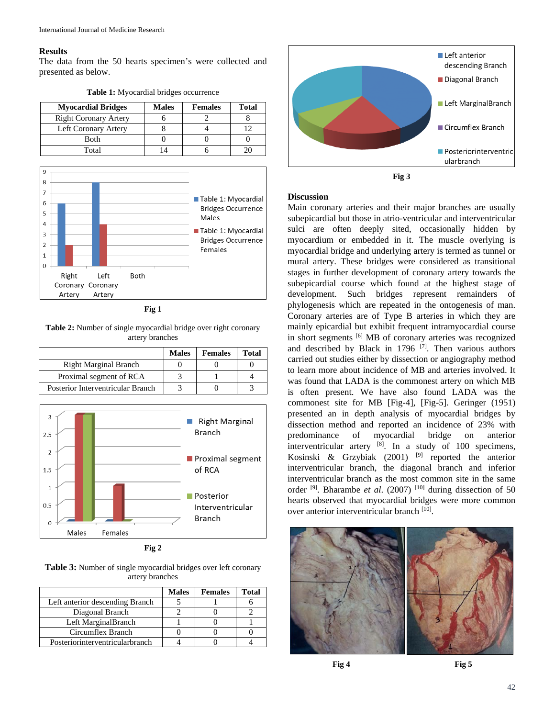### **Results**

The data from the 50 hearts specimen's were collected and presented as below.

| <b>Myocardial Bridges</b>    | <b>Males</b> | <b>Females</b> | <b>Total</b> |
|------------------------------|--------------|----------------|--------------|
| <b>Right Coronary Artery</b> |              |                |              |
| Left Coronary Artery         |              |                |              |
| <b>Both</b>                  |              |                |              |
| Total                        |              |                |              |

**Table 1:** Myocardial bridges occurrence



**Fig 1**

**Table 2:** Number of single myocardial bridge over right coronary artery branches

|                                   | <b>Males</b> | <b>Females</b> | Total |
|-----------------------------------|--------------|----------------|-------|
| <b>Right Marginal Branch</b>      |              |                |       |
| Proximal segment of RCA           |              |                |       |
| Posterior Interventricular Branch |              |                |       |



**Fig 2**

**Table 3:** Number of single myocardial bridges over left coronary artery branches

|                                 | <b>Males</b> | <b>Females</b> | Total |
|---------------------------------|--------------|----------------|-------|
| Left anterior descending Branch |              |                |       |
| Diagonal Branch                 |              |                |       |
| Left MarginalBranch             |              |                |       |
| Circumflex Branch               |              |                |       |
| Posteriorinterventricularbranch |              |                |       |



**Fig 3**

#### **Discussion**

Main coronary arteries and their major branches are usually subepicardial but those in atrio-ventricular and interventricular sulci are often deeply sited, occasionally hidden by myocardium or embedded in it. The muscle overlying is myocardial bridge and underlying artery is termed as tunnel or mural artery. These bridges were considered as transitional stages in further development of coronary artery towards the subepicardial course which found at the highest stage of development. Such bridges represent remainders of phylogenesis which are repeated in the ontogenesis of man. Coronary arteries are of Type B arteries in which they are mainly epicardial but exhibit frequent intramyocardial course in short segments [6] MB of coronary arteries was recognized and described by Black in 1796  $[7]$ . Then various authors carried out studies either by dissection or angiography method to learn more about incidence of MB and arteries involved. It was found that LADA is the commonest artery on which MB is often present. We have also found LADA was the commonest site for MB [Fig-4], [Fig-5]. Geringer (1951) presented an in depth analysis of myocardial bridges by dissection method and reported an incidence of 23% with predominance of myocardial bridge on anterior interventricular artery [8]. In a study of 100 specimens, Kosinski  $\&$  Grzybiak (2001)<sup>[9]</sup> reported the anterior interventricular branch, the diagonal branch and inferior interventricular branch as the most common site in the same order<sup>[9]</sup>. Bharambe *et al.* (2007)<sup>[10]</sup> during dissection of 50 hearts observed that myocardial bridges were more common over anterior interventricular branch [10].





**Fig 4 Fig 5**